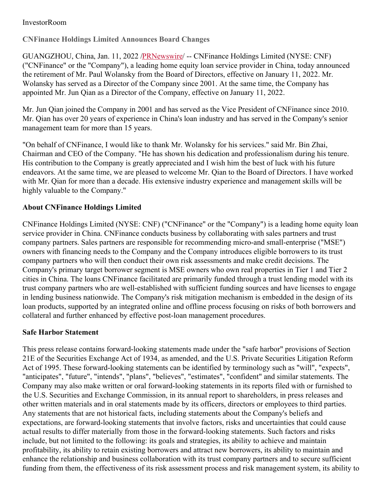## InvestorRoom

**CNFinance Holdings Limited Announces Board Changes**

GUANGZHOU, China, Jan. 11, 2022 [/PRNewswire](http://www.prnewswire.com/)/ -- CNFinance Holdings Limited (NYSE: CNF) ("CNFinance" or the "Company"), a leading home equity loan service provider in China, today announced the retirement of Mr. Paul Wolansky from the Board of Directors, effective on January 11, 2022. Mr. Wolansky has served as a Director of the Company since 2001. At the same time, the Company has appointed Mr. Jun Qian as a Director of the Company, effective on January 11, 2022.

Mr. Jun Qian joined the Company in 2001 and has served as the Vice President of CNFinance since 2010. Mr. Qian has over 20 years of experience in China's loan industry and has served in the Company's senior management team for more than 15 years.

"On behalf of CNFinance, I would like to thank Mr. Wolansky for his services." said Mr. Bin Zhai, Chairman and CEO of the Company. "He has shown his dedication and professionalism during his tenure. His contribution to the Company is greatly appreciated and I wish him the best of luck with his future endeavors. At the same time, we are pleased to welcome Mr. Qian to the Board of Directors. I have worked with Mr. Qian for more than a decade. His extensive industry experience and management skills will be highly valuable to the Company."

## **About CNFinance Holdings Limited**

CNFinance Holdings Limited (NYSE: CNF) ("CNFinance" or the "Company") is a leading home equity loan service provider in China. CNFinance conducts business by collaborating with sales partners and trust company partners. Sales partners are responsible for recommending micro-and small-enterprise ("MSE") owners with financing needs to the Company and the Company introduces eligible borrowers to its trust company partners who will then conduct their own risk assessments and make credit decisions. The Company's primary target borrower segment is MSE owners who own real properties in Tier 1 and Tier 2 cities in China. The loans CNFinance facilitated are primarily funded through a trust lending model with its trust company partners who are well-established with sufficient funding sources and have licenses to engage in lending business nationwide. The Company's risk mitigation mechanism is embedded in the design of its loan products, supported by an integrated online and offline process focusing on risks of both borrowers and collateral and further enhanced by effective post-loan management procedures.

## **Safe Harbor Statement**

This press release contains forward-looking statements made under the "safe harbor" provisions of Section 21E of the Securities Exchange Act of 1934, as amended, and the U.S. Private Securities Litigation Reform Act of 1995. These forward-looking statements can be identified by terminology such as "will", "expects", "anticipates", "future", "intends", "plans", "believes", "estimates", "confident" and similar statements. The Company may also make written or oral forward-looking statements in its reports filed with or furnished to the U.S. Securities and Exchange Commission, in its annual report to shareholders, in press releases and other written materials and in oral statements made by its officers, directors or employees to third parties. Any statements that are not historical facts, including statements about the Company's beliefs and expectations, are forward-looking statements that involve factors, risks and uncertainties that could cause actual results to differ materially from those in the forward-looking statements. Such factors and risks include, but not limited to the following: its goals and strategies, its ability to achieve and maintain profitability, its ability to retain existing borrowers and attract new borrowers, its ability to maintain and enhance the relationship and business collaboration with its trust company partners and to secure sufficient funding from them, the effectiveness of its risk assessment process and risk management system, its ability to